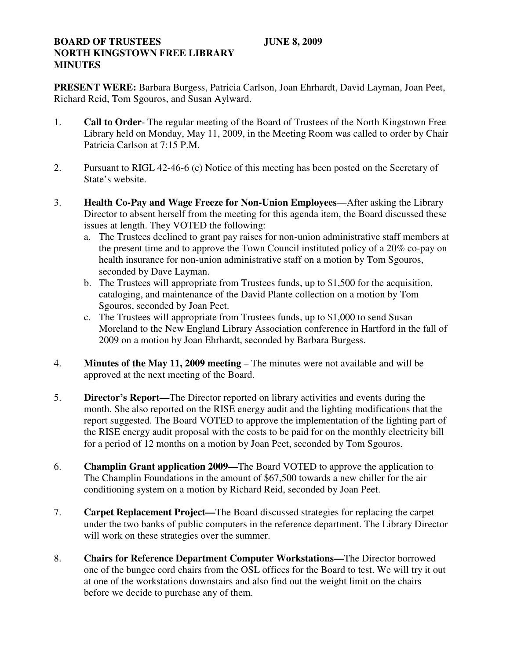## **BOARD OF TRUSTEES** JUNE 8, 2009 **NORTH KINGSTOWN FREE LIBRARY MINUTES**

**PRESENT WERE:** Barbara Burgess, Patricia Carlson, Joan Ehrhardt, David Layman, Joan Peet, Richard Reid, Tom Sgouros, and Susan Aylward.

- 1. **Call to Order** The regular meeting of the Board of Trustees of the North Kingstown Free Library held on Monday, May 11, 2009, in the Meeting Room was called to order by Chair Patricia Carlson at 7:15 P.M.
- 2. Pursuant to RIGL 42-46-6 (c) Notice of this meeting has been posted on the Secretary of State's website.
- 3. **Health Co-Pay and Wage Freeze for Non-Union Employees**—After asking the Library Director to absent herself from the meeting for this agenda item, the Board discussed these issues at length. They VOTED the following:
	- a. The Trustees declined to grant pay raises for non-union administrative staff members at the present time and to approve the Town Council instituted policy of a 20% co-pay on health insurance for non-union administrative staff on a motion by Tom Sgouros, seconded by Dave Layman.
	- b. The Trustees will appropriate from Trustees funds, up to \$1,500 for the acquisition, cataloging, and maintenance of the David Plante collection on a motion by Tom Sgouros, seconded by Joan Peet.
	- c. The Trustees will appropriate from Trustees funds, up to \$1,000 to send Susan Moreland to the New England Library Association conference in Hartford in the fall of 2009 on a motion by Joan Ehrhardt, seconded by Barbara Burgess.
- 4. **Minutes of the May 11, 2009 meeting** The minutes were not available and will be approved at the next meeting of the Board.
- 5. **Director's Report—**The Director reported on library activities and events during the month. She also reported on the RISE energy audit and the lighting modifications that the report suggested. The Board VOTED to approve the implementation of the lighting part of the RISE energy audit proposal with the costs to be paid for on the monthly electricity bill for a period of 12 months on a motion by Joan Peet, seconded by Tom Sgouros.
- 6. **Champlin Grant application 2009—**The Board VOTED to approve the application to The Champlin Foundations in the amount of \$67,500 towards a new chiller for the air conditioning system on a motion by Richard Reid, seconded by Joan Peet.
- 7. **Carpet Replacement Project—**The Board discussed strategies for replacing the carpet under the two banks of public computers in the reference department. The Library Director will work on these strategies over the summer.
- 8. **Chairs for Reference Department Computer Workstations—**The Director borrowed one of the bungee cord chairs from the OSL offices for the Board to test. We will try it out at one of the workstations downstairs and also find out the weight limit on the chairs before we decide to purchase any of them.